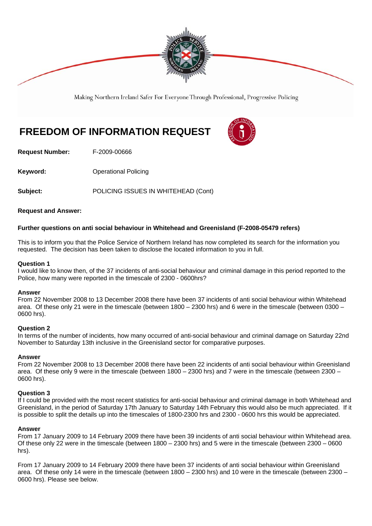

Making Northern Ireland Safer For Everyone Through Professional, Progressive Policing

# **FREEDOM OF INFORMATION REQUEST**



**Request Number:** F-2009-00666

**Keyword: Conservery Operational Policing** 

**Subject:** POLICING ISSUES IN WHITEHEAD (Cont)

# **Request and Answer:**

# **Further questions on anti social behaviour in Whitehead and Greenisland (F-2008-05479 refers)**

This is to inform you that the Police Service of Northern Ireland has now completed its search for the information you requested. The decision has been taken to disclose the located information to you in full.

### **Question 1**

I would like to know then, of the 37 incidents of anti-social behaviour and criminal damage in this period reported to the Police, how many were reported in the timescale of 2300 - 0600hrs?

### **Answer**

From 22 November 2008 to 13 December 2008 there have been 37 incidents of anti social behaviour within Whitehead area. Of these only 21 were in the timescale (between 1800 – 2300 hrs) and 6 were in the timescale (between 0300 – 0600 hrs).

### **Question 2**

In terms of the number of incidents, how many occurred of anti-social behaviour and criminal damage on Saturday 22nd November to Saturday 13th inclusive in the Greenisland sector for comparative purposes.

### **Answer**

From 22 November 2008 to 13 December 2008 there have been 22 incidents of anti social behaviour within Greenisland area. Of these only 9 were in the timescale (between 1800 – 2300 hrs) and 7 were in the timescale (between 2300 – 0600 hrs).

## **Question 3**

If I could be provided with the most recent statistics for anti-social behaviour and criminal damage in both Whitehead and Greenisland, in the period of Saturday 17th January to Saturday 14th February this would also be much appreciated. If it is possible to split the details up into the timescales of 1800-2300 hrs and 2300 - 0600 hrs this would be appreciated.

### **Answer**

From 17 January 2009 to 14 February 2009 there have been 39 incidents of anti social behaviour within Whitehead area. Of these only 22 were in the timescale (between 1800 – 2300 hrs) and 5 were in the timescale (between 2300 – 0600 hrs).

From 17 January 2009 to 14 February 2009 there have been 37 incidents of anti social behaviour within Greenisland area. Of these only 14 were in the timescale (between 1800 – 2300 hrs) and 10 were in the timescale (between 2300 – 0600 hrs). Please see below.